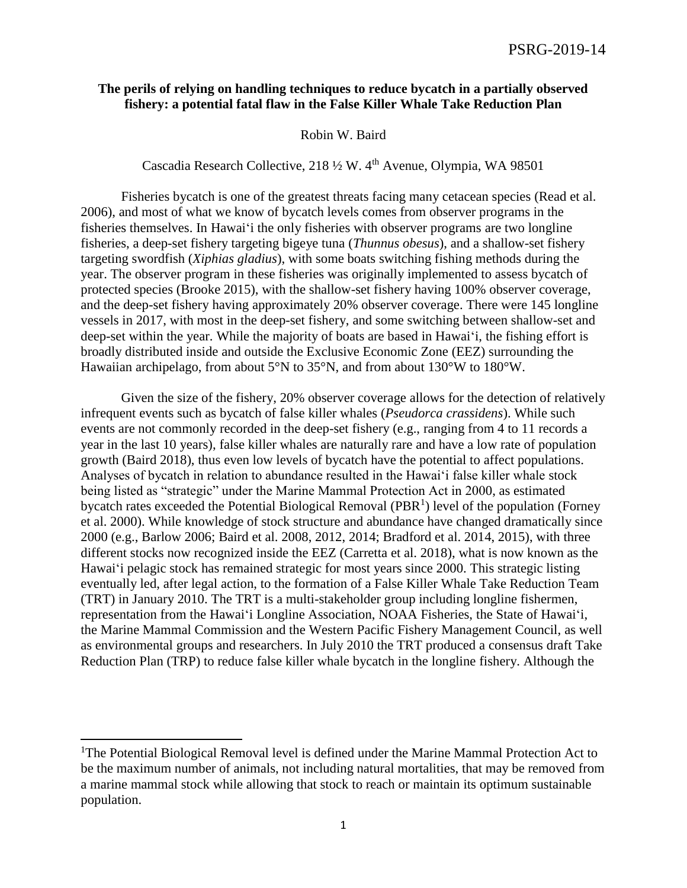## **The perils of relying on handling techniques to reduce bycatch in a partially observed fishery: a potential fatal flaw in the False Killer Whale Take Reduction Plan**

Robin W. Baird

Cascadia Research Collective, 218 ½ W. 4th Avenue, Olympia, WA 98501

Fisheries bycatch is one of the greatest threats facing many cetacean species (Read et al. 2006), and most of what we know of bycatch levels comes from observer programs in the fisheries themselves. In Hawai'i the only fisheries with observer programs are two longline fisheries, a deep-set fishery targeting bigeye tuna (*Thunnus obesus*), and a shallow-set fishery targeting swordfish (*Xiphias gladius*), with some boats switching fishing methods during the year. The observer program in these fisheries was originally implemented to assess bycatch of protected species (Brooke 2015), with the shallow-set fishery having 100% observer coverage, and the deep-set fishery having approximately 20% observer coverage. There were 145 longline vessels in 2017, with most in the deep-set fishery, and some switching between shallow-set and deep-set within the year. While the majority of boats are based in Hawai'i, the fishing effort is broadly distributed inside and outside the Exclusive Economic Zone (EEZ) surrounding the Hawaiian archipelago, from about 5°N to 35°N, and from about 130°W to 180°W.

Given the size of the fishery, 20% observer coverage allows for the detection of relatively infrequent events such as bycatch of false killer whales (*Pseudorca crassidens*). While such events are not commonly recorded in the deep-set fishery (e.g., ranging from 4 to 11 records a year in the last 10 years), false killer whales are naturally rare and have a low rate of population growth (Baird 2018), thus even low levels of bycatch have the potential to affect populations. Analyses of bycatch in relation to abundance resulted in the Hawai'i false killer whale stock being listed as "strategic" under the Marine Mammal Protection Act in 2000, as estimated bycatch rates exceeded the Potential Biological Removal (PBR<sup>1</sup>) level of the population (Forney et al. 2000). While knowledge of stock structure and abundance have changed dramatically since 2000 (e.g., Barlow 2006; Baird et al. 2008, 2012, 2014; Bradford et al. 2014, 2015), with three different stocks now recognized inside the EEZ (Carretta et al. 2018), what is now known as the Hawai'i pelagic stock has remained strategic for most years since 2000. This strategic listing eventually led, after legal action, to the formation of a False Killer Whale Take Reduction Team (TRT) in January 2010. The TRT is a multi-stakeholder group including longline fishermen, representation from the Hawai'i Longline Association, NOAA Fisheries, the State of Hawai'i, the Marine Mammal Commission and the Western Pacific Fishery Management Council, as well as environmental groups and researchers. In July 2010 the TRT produced a consensus draft Take Reduction Plan (TRP) to reduce false killer whale bycatch in the longline fishery. Although the

 $\overline{a}$ 

<sup>&</sup>lt;sup>1</sup>The Potential Biological Removal level is defined under the Marine Mammal Protection Act to be the maximum number of animals, not including natural mortalities, that may be removed from a marine mammal stock while allowing that stock to reach or maintain its optimum sustainable population.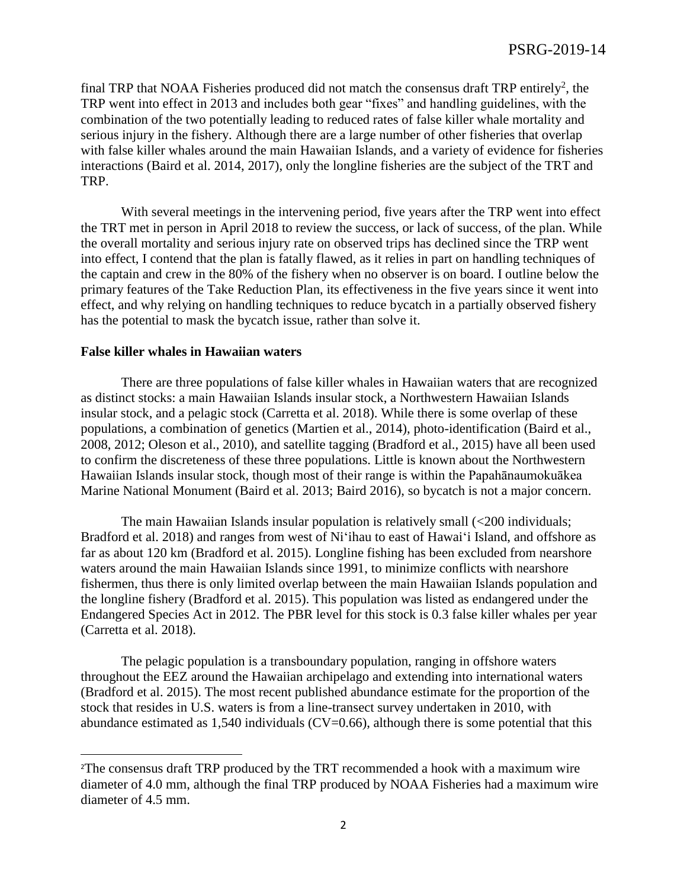final TRP that NOAA Fisheries produced did not match the consensus draft TRP entirely<sup>2</sup>, the TRP went into effect in 2013 and includes both gear "fixes" and handling guidelines, with the combination of the two potentially leading to reduced rates of false killer whale mortality and serious injury in the fishery. Although there are a large number of other fisheries that overlap with false killer whales around the main Hawaiian Islands, and a variety of evidence for fisheries interactions (Baird et al. 2014, 2017), only the longline fisheries are the subject of the TRT and TRP.

With several meetings in the intervening period, five years after the TRP went into effect the TRT met in person in April 2018 to review the success, or lack of success, of the plan. While the overall mortality and serious injury rate on observed trips has declined since the TRP went into effect, I contend that the plan is fatally flawed, as it relies in part on handling techniques of the captain and crew in the 80% of the fishery when no observer is on board. I outline below the primary features of the Take Reduction Plan, its effectiveness in the five years since it went into effect, and why relying on handling techniques to reduce bycatch in a partially observed fishery has the potential to mask the bycatch issue, rather than solve it.

## **False killer whales in Hawaiian waters**

 $\overline{\phantom{a}}$ 

There are three populations of false killer whales in Hawaiian waters that are recognized as distinct stocks: a main Hawaiian Islands insular stock, a Northwestern Hawaiian Islands insular stock, and a pelagic stock (Carretta et al. 2018). While there is some overlap of these populations, a combination of genetics (Martien et al., 2014), photo-identification (Baird et al., 2008, 2012; Oleson et al., 2010), and satellite tagging (Bradford et al., 2015) have all been used to confirm the discreteness of these three populations. Little is known about the Northwestern Hawaiian Islands insular stock, though most of their range is within the Papahānaumokuākea Marine National Monument (Baird et al. 2013; Baird 2016), so bycatch is not a major concern.

The main Hawaiian Islands insular population is relatively small (<200 individuals; Bradford et al. 2018) and ranges from west of Ni'ihau to east of Hawai'i Island, and offshore as far as about 120 km (Bradford et al. 2015). Longline fishing has been excluded from nearshore waters around the main Hawaiian Islands since 1991, to minimize conflicts with nearshore fishermen, thus there is only limited overlap between the main Hawaiian Islands population and the longline fishery (Bradford et al. 2015). This population was listed as endangered under the Endangered Species Act in 2012. The PBR level for this stock is 0.3 false killer whales per year (Carretta et al. 2018).

The pelagic population is a transboundary population, ranging in offshore waters throughout the EEZ around the Hawaiian archipelago and extending into international waters (Bradford et al. 2015). The most recent published abundance estimate for the proportion of the stock that resides in U.S. waters is from a line-transect survey undertaken in 2010, with abundance estimated as  $1,540$  individuals (CV=0.66), although there is some potential that this

<sup>2</sup>The consensus draft TRP produced by the TRT recommended a hook with a maximum wire diameter of 4.0 mm, although the final TRP produced by NOAA Fisheries had a maximum wire diameter of 4.5 mm.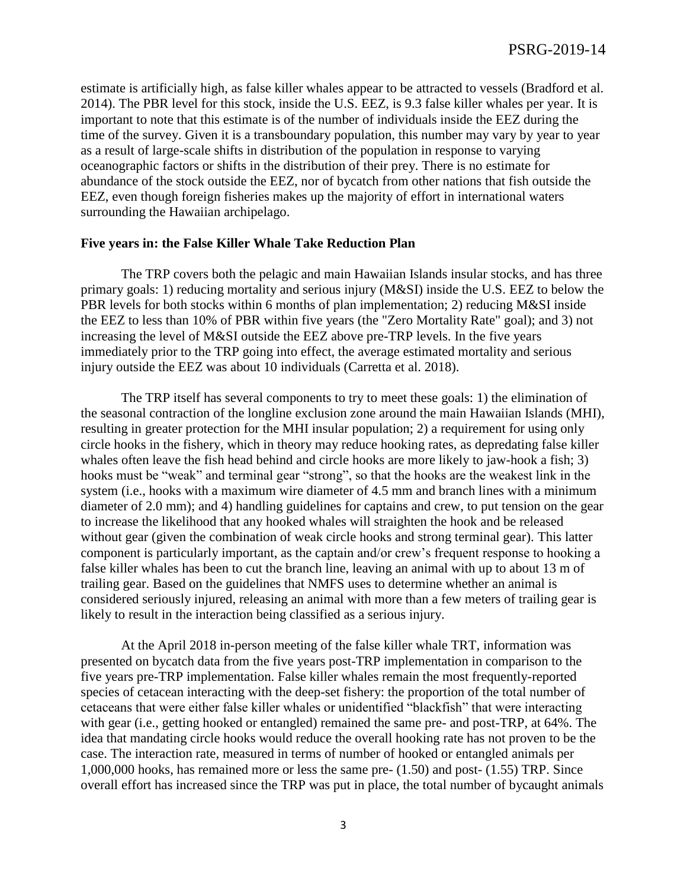estimate is artificially high, as false killer whales appear to be attracted to vessels (Bradford et al. 2014). The PBR level for this stock, inside the U.S. EEZ, is 9.3 false killer whales per year. It is important to note that this estimate is of the number of individuals inside the EEZ during the time of the survey. Given it is a transboundary population, this number may vary by year to year as a result of large-scale shifts in distribution of the population in response to varying oceanographic factors or shifts in the distribution of their prey. There is no estimate for abundance of the stock outside the EEZ, nor of bycatch from other nations that fish outside the EEZ, even though foreign fisheries makes up the majority of effort in international waters surrounding the Hawaiian archipelago.

## **Five years in: the False Killer Whale Take Reduction Plan**

The TRP covers both the pelagic and main Hawaiian Islands insular stocks, and has three primary goals: 1) reducing mortality and serious injury (M&SI) inside the U.S. EEZ to below the PBR levels for both stocks within 6 months of plan implementation; 2) reducing M&SI inside the EEZ to less than 10% of PBR within five years (the "Zero Mortality Rate" goal); and 3) not increasing the level of M&SI outside the EEZ above pre-TRP levels. In the five years immediately prior to the TRP going into effect, the average estimated mortality and serious injury outside the EEZ was about 10 individuals (Carretta et al. 2018).

The TRP itself has several components to try to meet these goals: 1) the elimination of the seasonal contraction of the longline exclusion zone around the main Hawaiian Islands (MHI), resulting in greater protection for the MHI insular population; 2) a requirement for using only circle hooks in the fishery, which in theory may reduce hooking rates, as depredating false killer whales often leave the fish head behind and circle hooks are more likely to jaw-hook a fish; 3) hooks must be "weak" and terminal gear "strong", so that the hooks are the weakest link in the system (i.e., hooks with a maximum wire diameter of 4.5 mm and branch lines with a minimum diameter of 2.0 mm); and 4) handling guidelines for captains and crew, to put tension on the gear to increase the likelihood that any hooked whales will straighten the hook and be released without gear (given the combination of weak circle hooks and strong terminal gear). This latter component is particularly important, as the captain and/or crew's frequent response to hooking a false killer whales has been to cut the branch line, leaving an animal with up to about 13 m of trailing gear. Based on the guidelines that NMFS uses to determine whether an animal is considered seriously injured, releasing an animal with more than a few meters of trailing gear is likely to result in the interaction being classified as a serious injury.

At the April 2018 in-person meeting of the false killer whale TRT, information was presented on bycatch data from the five years post-TRP implementation in comparison to the five years pre-TRP implementation. False killer whales remain the most frequently-reported species of cetacean interacting with the deep-set fishery: the proportion of the total number of cetaceans that were either false killer whales or unidentified "blackfish" that were interacting with gear (i.e., getting hooked or entangled) remained the same pre- and post-TRP, at 64%. The idea that mandating circle hooks would reduce the overall hooking rate has not proven to be the case. The interaction rate, measured in terms of number of hooked or entangled animals per 1,000,000 hooks, has remained more or less the same pre- (1.50) and post- (1.55) TRP. Since overall effort has increased since the TRP was put in place, the total number of bycaught animals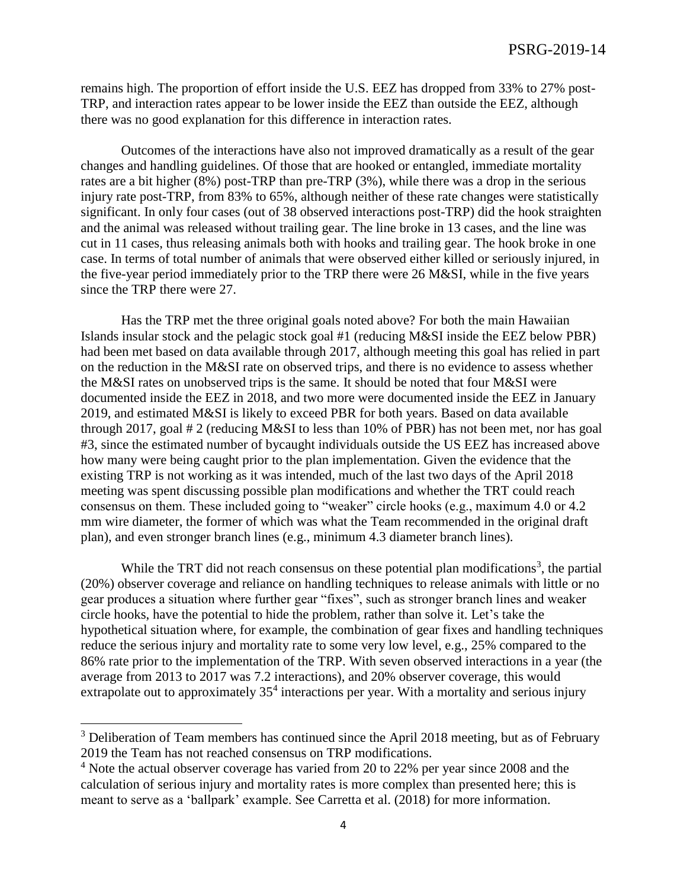remains high. The proportion of effort inside the U.S. EEZ has dropped from 33% to 27% post-TRP, and interaction rates appear to be lower inside the EEZ than outside the EEZ, although there was no good explanation for this difference in interaction rates.

Outcomes of the interactions have also not improved dramatically as a result of the gear changes and handling guidelines. Of those that are hooked or entangled, immediate mortality rates are a bit higher (8%) post-TRP than pre-TRP (3%), while there was a drop in the serious injury rate post-TRP, from 83% to 65%, although neither of these rate changes were statistically significant. In only four cases (out of 38 observed interactions post-TRP) did the hook straighten and the animal was released without trailing gear. The line broke in 13 cases, and the line was cut in 11 cases, thus releasing animals both with hooks and trailing gear. The hook broke in one case. In terms of total number of animals that were observed either killed or seriously injured, in the five-year period immediately prior to the TRP there were 26 M&SI, while in the five years since the TRP there were 27.

Has the TRP met the three original goals noted above? For both the main Hawaiian Islands insular stock and the pelagic stock goal #1 (reducing M&SI inside the EEZ below PBR) had been met based on data available through 2017, although meeting this goal has relied in part on the reduction in the M&SI rate on observed trips, and there is no evidence to assess whether the M&SI rates on unobserved trips is the same. It should be noted that four M&SI were documented inside the EEZ in 2018, and two more were documented inside the EEZ in January 2019, and estimated M&SI is likely to exceed PBR for both years. Based on data available through 2017, goal # 2 (reducing M&SI to less than 10% of PBR) has not been met, nor has goal #3, since the estimated number of bycaught individuals outside the US EEZ has increased above how many were being caught prior to the plan implementation. Given the evidence that the existing TRP is not working as it was intended, much of the last two days of the April 2018 meeting was spent discussing possible plan modifications and whether the TRT could reach consensus on them. These included going to "weaker" circle hooks (e.g., maximum 4.0 or 4.2 mm wire diameter, the former of which was what the Team recommended in the original draft plan), and even stronger branch lines (e.g., minimum 4.3 diameter branch lines).

While the TRT did not reach consensus on these potential plan modifications<sup>3</sup>, the partial (20%) observer coverage and reliance on handling techniques to release animals with little or no gear produces a situation where further gear "fixes", such as stronger branch lines and weaker circle hooks, have the potential to hide the problem, rather than solve it. Let's take the hypothetical situation where, for example, the combination of gear fixes and handling techniques reduce the serious injury and mortality rate to some very low level, e.g., 25% compared to the 86% rate prior to the implementation of the TRP. With seven observed interactions in a year (the average from 2013 to 2017 was 7.2 interactions), and 20% observer coverage, this would extrapolate out to approximately 35<sup>4</sup> interactions per year. With a mortality and serious injury

l

 $3$  Deliberation of Team members has continued since the April 2018 meeting, but as of February 2019 the Team has not reached consensus on TRP modifications.

<sup>&</sup>lt;sup>4</sup> Note the actual observer coverage has varied from 20 to 22% per year since 2008 and the calculation of serious injury and mortality rates is more complex than presented here; this is meant to serve as a 'ballpark' example. See Carretta et al. (2018) for more information.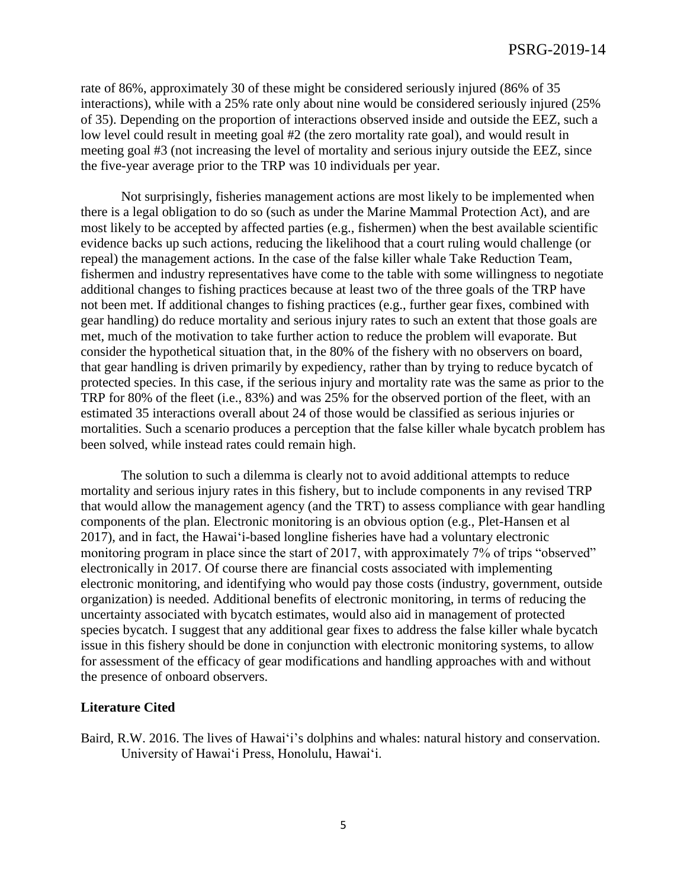rate of 86%, approximately 30 of these might be considered seriously injured (86% of 35 interactions), while with a 25% rate only about nine would be considered seriously injured (25% of 35). Depending on the proportion of interactions observed inside and outside the EEZ, such a low level could result in meeting goal #2 (the zero mortality rate goal), and would result in meeting goal #3 (not increasing the level of mortality and serious injury outside the EEZ, since the five-year average prior to the TRP was 10 individuals per year.

Not surprisingly, fisheries management actions are most likely to be implemented when there is a legal obligation to do so (such as under the Marine Mammal Protection Act), and are most likely to be accepted by affected parties (e.g., fishermen) when the best available scientific evidence backs up such actions, reducing the likelihood that a court ruling would challenge (or repeal) the management actions. In the case of the false killer whale Take Reduction Team, fishermen and industry representatives have come to the table with some willingness to negotiate additional changes to fishing practices because at least two of the three goals of the TRP have not been met. If additional changes to fishing practices (e.g., further gear fixes, combined with gear handling) do reduce mortality and serious injury rates to such an extent that those goals are met, much of the motivation to take further action to reduce the problem will evaporate. But consider the hypothetical situation that, in the 80% of the fishery with no observers on board, that gear handling is driven primarily by expediency, rather than by trying to reduce bycatch of protected species. In this case, if the serious injury and mortality rate was the same as prior to the TRP for 80% of the fleet (i.e., 83%) and was 25% for the observed portion of the fleet, with an estimated 35 interactions overall about 24 of those would be classified as serious injuries or mortalities. Such a scenario produces a perception that the false killer whale bycatch problem has been solved, while instead rates could remain high.

The solution to such a dilemma is clearly not to avoid additional attempts to reduce mortality and serious injury rates in this fishery, but to include components in any revised TRP that would allow the management agency (and the TRT) to assess compliance with gear handling components of the plan. Electronic monitoring is an obvious option (e.g., Plet-Hansen et al 2017), and in fact, the Hawai'i-based longline fisheries have had a voluntary electronic monitoring program in place since the start of 2017, with approximately 7% of trips "observed" electronically in 2017. Of course there are financial costs associated with implementing electronic monitoring, and identifying who would pay those costs (industry, government, outside organization) is needed. Additional benefits of electronic monitoring, in terms of reducing the uncertainty associated with bycatch estimates, would also aid in management of protected species bycatch. I suggest that any additional gear fixes to address the false killer whale bycatch issue in this fishery should be done in conjunction with electronic monitoring systems, to allow for assessment of the efficacy of gear modifications and handling approaches with and without the presence of onboard observers.

## **Literature Cited**

Baird, R.W. 2016. The lives of Hawai'i's dolphins and whales: natural history and conservation. University of Hawai'i Press, Honolulu, Hawai'i.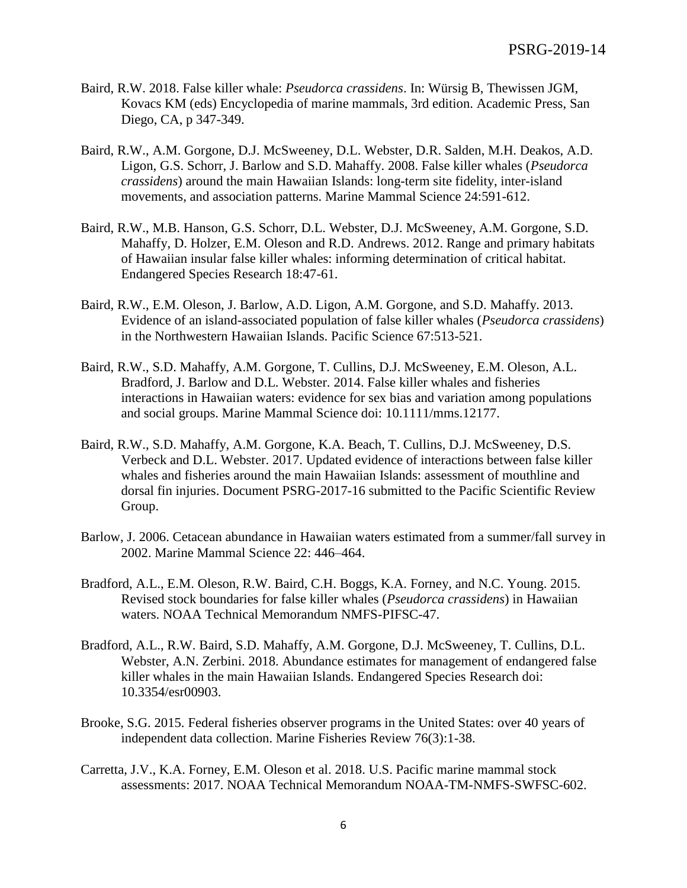- Baird, R.W. 2018. False killer whale: *Pseudorca crassidens*. In: Würsig B, Thewissen JGM, Kovacs KM (eds) Encyclopedia of marine mammals, 3rd edition. Academic Press, San Diego, CA, p 347-349.
- Baird, R.W., A.M. Gorgone, D.J. McSweeney, D.L. Webster, D.R. Salden, M.H. Deakos, A.D. Ligon, G.S. Schorr, J. Barlow and S.D. Mahaffy. 2008. False killer whales (*Pseudorca crassidens*) around the main Hawaiian Islands: long-term site fidelity, inter-island movements, and association patterns. Marine Mammal Science 24:591-612.
- Baird, R.W., M.B. Hanson, G.S. Schorr, D.L. Webster, D.J. McSweeney, A.M. Gorgone, S.D. Mahaffy, D. Holzer, E.M. Oleson and R.D. Andrews. 2012. Range and primary habitats of Hawaiian insular false killer whales: informing determination of critical habitat. Endangered Species Research 18:47-61.
- Baird, R.W., E.M. Oleson, J. Barlow, A.D. Ligon, A.M. Gorgone, and S.D. Mahaffy. 2013. Evidence of an island-associated population of false killer whales (*Pseudorca crassidens*) in the Northwestern Hawaiian Islands. Pacific Science 67:513-521.
- Baird, R.W., S.D. Mahaffy, A.M. Gorgone, T. Cullins, D.J. McSweeney, E.M. Oleson, A.L. Bradford, J. Barlow and D.L. Webster. 2014. False killer whales and fisheries interactions in Hawaiian waters: evidence for sex bias and variation among populations and social groups. Marine Mammal Science doi: 10.1111/mms.12177.
- Baird, R.W., S.D. Mahaffy, A.M. Gorgone, K.A. Beach, T. Cullins, D.J. McSweeney, D.S. Verbeck and D.L. Webster. 2017. Updated evidence of interactions between false killer whales and fisheries around the main Hawaiian Islands: assessment of mouthline and dorsal fin injuries. Document PSRG-2017-16 submitted to the Pacific Scientific Review Group.
- Barlow, J. 2006. Cetacean abundance in Hawaiian waters estimated from a summer/fall survey in 2002. Marine Mammal Science 22: 446–464.
- Bradford, A.L., E.M. Oleson, R.W. Baird, C.H. Boggs, K.A. Forney, and N.C. Young. 2015. Revised stock boundaries for false killer whales (*Pseudorca crassidens*) in Hawaiian waters. NOAA Technical Memorandum NMFS-PIFSC-47.
- Bradford, A.L., R.W. Baird, S.D. Mahaffy, A.M. Gorgone, D.J. McSweeney, T. Cullins, D.L. Webster, A.N. Zerbini. 2018. Abundance estimates for management of endangered false killer whales in the main Hawaiian Islands. Endangered Species Research doi: 10.3354/esr00903.
- Brooke, S.G. 2015. Federal fisheries observer programs in the United States: over 40 years of independent data collection. Marine Fisheries Review 76(3):1-38.
- Carretta, J.V., K.A. Forney, E.M. Oleson et al. 2018. U.S. Pacific marine mammal stock assessments: 2017. NOAA Technical Memorandum NOAA-TM-NMFS-SWFSC-602.